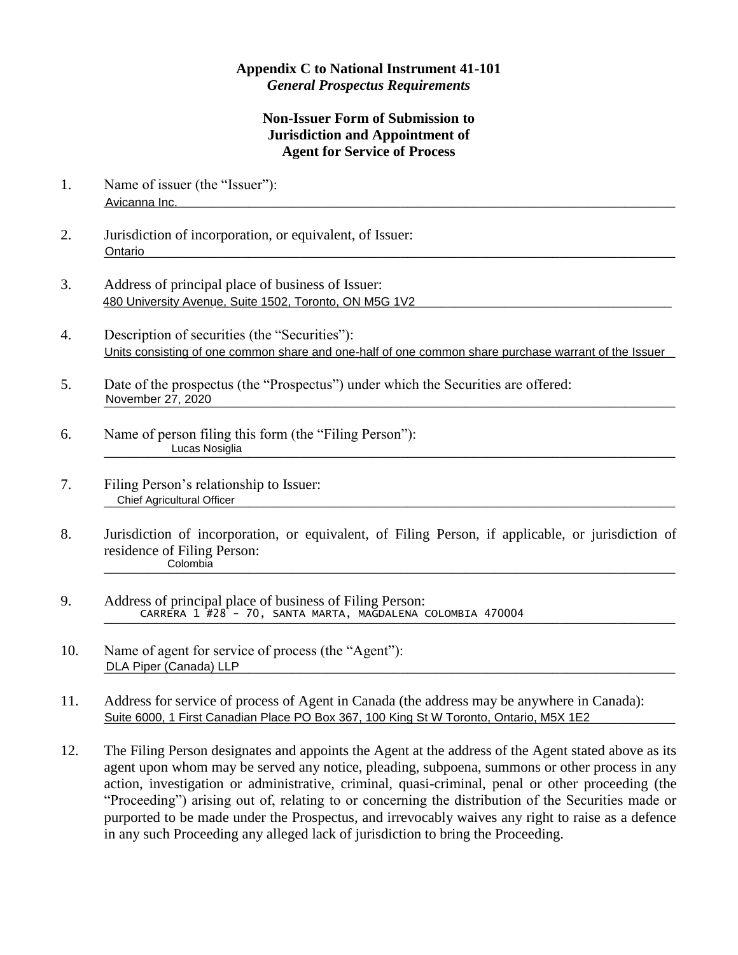## **Appendix C to National Instrument 41-101** *General Prospectus Requirements*

## **Non-Issuer Form of Submission to Jurisdiction and Appointment of Agent for Service of Process**

- 1. Name of issuer (the "Issuer"): Avicanna Inc. 2008. 2009. 2009. 2009. 2009. 2010. 2010. 2010. 2010. 2010. 2010. 2010. 2010. 2010. 2010. 2010. 2010. 2010. 2010. 2010. 2010. 2010. 2010. 2010. 2010. 2010. 2010. 2010. 2010. 2010. 2010. 2010. 2010. 2010. 2010 Avicanna Inc.
- 2. Jurisdiction of incorporation, or equivalent, of Issuer: \_\_\_\_\_\_\_\_\_\_\_\_\_\_\_\_\_\_\_\_\_\_\_\_\_\_\_\_\_\_\_\_\_\_\_\_\_\_\_\_\_\_\_\_\_\_\_\_\_\_\_\_\_\_\_\_\_\_\_\_\_\_\_\_\_\_\_\_\_\_\_\_\_\_\_\_\_\_\_ Ontario
- 3. Address of principal place of business of Issuer: 480 University Avenue, Suite 1502, Toronto, ON M5G 1V2 **Contained and Contained Avenue Contained and Contained A**
- 4. Description of securities (the "Securities"): Units consisting of one common share and one-half of one common share purchase warrant of the Issuer
- 5. Date of the prospectus (the "Prospectus") under which the Securities are offered: \_\_\_\_\_\_\_\_\_\_\_\_\_\_\_\_\_\_\_\_\_\_\_\_\_\_\_\_\_\_\_\_\_\_\_\_\_\_\_\_\_\_\_\_\_\_\_\_\_\_\_\_\_\_\_\_\_\_\_\_\_\_\_\_\_\_\_\_\_\_\_\_\_\_\_\_\_\_\_ November 27, 2020
- 6. Name of person filing this form (the "Filing Person"): \_\_\_\_\_\_\_\_\_\_\_\_\_\_\_\_\_\_\_\_\_\_\_\_\_\_\_\_\_\_\_\_\_\_\_\_\_\_\_\_\_\_\_\_\_\_\_\_\_\_\_\_\_\_\_\_\_\_\_\_\_\_\_\_\_\_\_\_\_\_\_\_\_\_\_\_\_\_\_ Lucas Nosiglia
- 7. Filing Person's relationship to Issuer: \_\_\_\_\_\_\_\_\_\_\_\_\_\_\_\_\_\_\_\_\_\_\_\_\_\_\_\_\_\_\_\_\_\_\_\_\_\_\_\_\_\_\_\_\_\_\_\_\_\_\_\_\_\_\_\_\_\_\_\_\_\_\_\_\_\_\_\_\_\_\_\_\_\_\_\_\_\_\_ Chief Agricultural Officer
- 8. Jurisdiction of incorporation, or equivalent, of Filing Person, if applicable, or jurisdiction of residence of Filing Person: \_\_\_\_\_\_\_\_\_\_\_\_\_\_\_\_\_\_\_\_\_\_\_\_\_\_\_\_\_\_\_\_\_\_\_\_\_\_\_\_\_\_\_\_\_\_\_\_\_\_\_\_\_\_\_\_\_\_\_\_\_\_\_\_\_\_\_\_\_\_\_\_\_\_\_\_\_\_\_ Colombia
- 9. Address of principal place of business of Filing Person: \_\_\_\_\_\_\_\_\_\_\_\_\_\_\_\_\_\_\_\_\_\_\_\_\_\_\_\_\_\_\_\_\_\_\_\_\_\_\_\_\_\_\_\_\_\_\_\_\_\_\_\_\_\_\_\_\_\_\_\_\_\_\_\_\_\_\_\_\_\_\_\_\_\_\_\_\_\_\_ CARRERA 1 #28 - 70, SANTA MARTA, MAGDALENA COLOMBIA 470004
- 10. Name of agent for service of process (the "Agent"): \_\_\_\_\_\_\_\_\_\_\_\_\_\_\_\_\_\_\_\_\_\_\_\_\_\_\_\_\_\_\_\_\_\_\_\_\_\_\_\_\_\_\_\_\_\_\_\_\_\_\_\_\_\_\_\_\_\_\_\_\_\_\_\_\_\_\_\_\_\_\_\_\_\_\_\_\_\_\_ DLA Piper (Canada) LLP
- 11. Address for service of process of Agent in Canada (the address may be anywhere in Canada): Suite 6000, 1 First Canadian Place PO Box 367, 100 King St W Toronto, Ontario, M5X 1E2
- 12. The Filing Person designates and appoints the Agent at the address of the Agent stated above as its agent upon whom may be served any notice, pleading, subpoena, summons or other process in any action, investigation or administrative, criminal, quasi-criminal, penal or other proceeding (the "Proceeding") arising out of, relating to or concerning the distribution of the Securities made or purported to be made under the Prospectus, and irrevocably waives any right to raise as a defence in any such Proceeding any alleged lack of jurisdiction to bring the Proceeding.